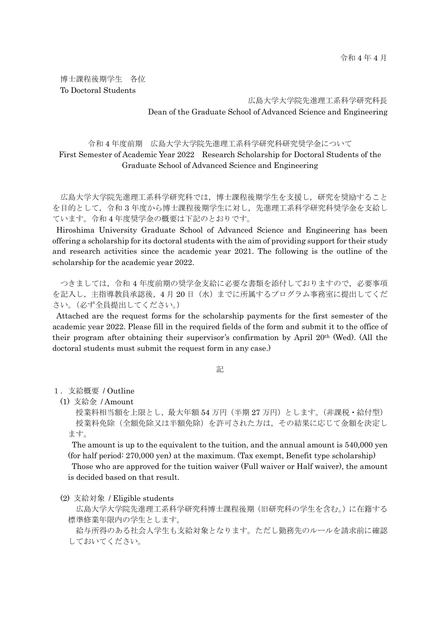博士課程後期学生 各位 To Doctoral Students

> 広島大学大学院先進理工系科学研究科長 Dean of the Graduate School of Advanced Science and Engineering

# 令和 4 年度前期 広島大学大学院先進理工系科学研究科研究奨学金について First Semester of Academic Year 2022 Research Scholarship for Doctoral Students of the Graduate School of Advanced Science and Engineering

広島大学大学院先進理工系科学研究科では,博士課程後期学生を支援し,研究を奨励すること を目的として,令和 3 年度から博士課程後期学生に対し,先進理工系科学研究科奨学金を支給し ています。令和 4 年度奨学金の概要は下記のとおりです。

Hiroshima University Graduate School of Advanced Science and Engineering has been offering a scholarship for its doctoral students with the aim of providing support for their study and research activities since the academic year 2021. The following is the outline of the scholarship for the academic year 2022.

つきましては,令和 4 年度前期の奨学金支給に必要な書類を添付しておりますので,必要事項 を記入し,主指導教員承認後,4 月 20 日(水)までに所属するプログラム事務室に提出してくだ さい。(必ず全員提出してください。)

Attached are the request forms for the scholarship payments for the first semester of the academic year 2022. Please fill in the required fields of the form and submit it to the office of their program after obtaining their supervisor's confirmation by April 20th (Wed). (All the doctoral students must submit the request form in any case.)

記

1.支給概要 / Outline

(1) 支給金 / Amount

授業料相当額を上限とし,最大年額 54 万円(半期 27 万円)とします。(非課税・給付型) 授業料免除(全額免除又は半額免除)を許可された方は,その結果に応じて金額を決定し ます。

The amount is up to the equivalent to the tuition, and the annual amount is 540,000 yen (for half period: 270,000 yen) at the maximum. (Tax exempt, Benefit type scholarship)

Those who are approved for the tuition waiver (Full waiver or Half waiver), the amount is decided based on that result.

(2) 支給対象 / Eligible students

広島大学大学院先進理工系科学研究科博士課程後期(旧研究科の学生を含む。)に在籍する 標準修業年限内の学生とします。

給与所得のある社会人学生も支給対象となります。ただし勤務先のルールを請求前に確認 しておいてください。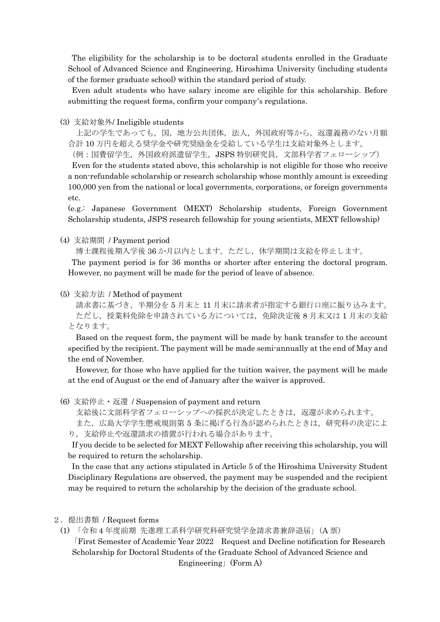The eligibility for the scholarship is to be doctoral students enrolled in the Graduate School of Advanced Science and Engineering, Hiroshima University (including students of the former graduate school) within the standard period of study.

Even adult students who have salary income are eligible for this scholarship. Before submitting the request forms, confirm your company's regulations.

## (3) 支給対象外/ Ineligible students

上記の学生であっても,国,地方公共団体,法人,外国政府等から,返還義務のない月額 合計 10 万円を超える奨学金や研究奨励金を受給している学生は支給対象外とします。

(例:国費留学生,外国政府派遣留学生,JSPS 特別研究員,文部科学省フェローシップ)

Even for the students stated above, this scholarship is not eligible for those who receive a non-refundable scholarship or research scholarship whose monthly amount is exceeding 100,000 yen from the national or local governments, corporations, or foreign governments etc.

(e.g.: Japanese Government (MEXT) Scholarship students, Foreign Government Scholarship students, JSPS research fellowship for young scientists, MEXT fellowship)

#### (4) 支給期間 / Payment period

博士課程後期入学後 36 か月以内とします。ただし,休学期間は支給を停止します。

The payment period is for 36 months or shorter after entering the doctoral program. However, no payment will be made for the period of leave of absence.

### (5) 支給方法 / Method of payment

請求書に基づき,半期分を 5 月末と 11 月末に請求者が指定する銀行口座に振り込みます。 ただし、授業料免除を申請されている方については、免除決定後 8 月末又は1月末の支給 となります。

Based on the request form, the payment will be made by bank transfer to the account specified by the recipient. The payment will be made semi-annually at the end of May and the end of November.

However, for those who have applied for the tuition waiver, the payment will be made at the end of August or the end of January after the waiver is approved.

(6) 支給停止・返還 / Suspension of payment and return

支給後に文部科学省フェローシップへの採択が決定したときは、返還が求められます。 また,広島大学学生懲戒規則第 5 条に掲げる行為が認められたときは,研究科の決定によ

り,支給停止や返還請求の措置が行われる場合があります。

If you decide to be selected for MEXT Fellowship after receiving this scholarship, you will be required to return the scholarship.

In the case that any actions stipulated in Article 5 of the Hiroshima University Student Disciplinary Regulations are observed, the payment may be suspended and the recipient may be required to return the scholarship by the decision of the graduate school.

#### 2.提出書類 / Request forms

(1) 「令和 4 年度前期 先進理工系科学研究科研究奨学金請求書兼辞退届」(A 票) 「First Semester of Academic Year 2022 Request and Decline notification for Research Scholarship for Doctoral Students of the Graduate School of Advanced Science and Engineering」(Form A)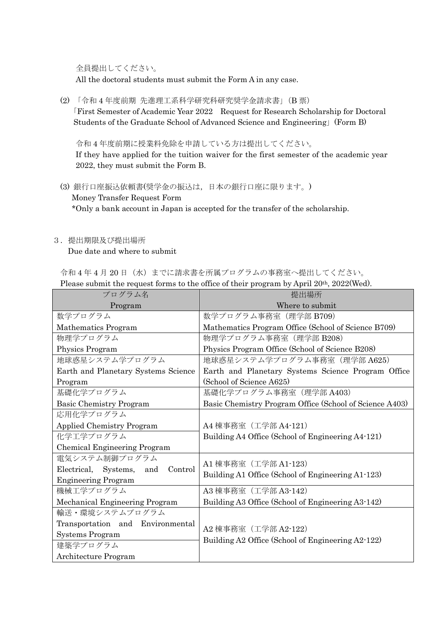全員提出してください。

All the doctoral students must submit the Form A in any case.

(2) 「令和 4 年度前期 先進理工系科学研究科研究奨学金請求書」(B 票) 「First Semester of Academic Year 2022 Request for Research Scholarship for Doctoral Students of the Graduate School of Advanced Science and Engineering」(Form B)

 令和 4 年度前期に授業料免除を申請している方は提出してください。 If they have applied for the tuition waiver for the first semester of the academic year 2022, they must submit the Form B.

(3) 銀行口座振込依頼書(奨学金の振込は,日本の銀行口座に限ります。) Money Transfer Request Form \*Only a bank account in Japan is accepted for the transfer of the scholarship.

## 3.提出期限及び提出場所

Due date and where to submit

令和4年4月20日(水)までに請求書を所属プログラムの事務室へ提出してください。

| Please submit the request forms to the office of their program by April $20^{th}$ , $2022(\text{Wed})$ . |                                                                           |
|----------------------------------------------------------------------------------------------------------|---------------------------------------------------------------------------|
| プログラム名                                                                                                   | 提出場所                                                                      |
| Program                                                                                                  | Where to submit                                                           |
| 数学プログラム                                                                                                  | 数学プログラム事務室 (理学部 B709)                                                     |
| Mathematics Program                                                                                      | Mathematics Program Office (School of Science B709)                       |
| 物理学プログラム                                                                                                 | 物理学プログラム事務室 (理学部 B208)                                                    |
| Physics Program                                                                                          | Physics Program Office (School of Science B208)                           |
| 地球惑星システム学プログラム                                                                                           | 地球惑星システム学プログラム事務室 (理学部 A625)                                              |
| Earth and Planetary Systems Science                                                                      | Earth and Planetary Systems Science Program Office                        |
| Program                                                                                                  | (School of Science A625)                                                  |
| 基礎化学プログラム                                                                                                | 基礎化学プログラム事務室 (理学部 A403)                                                   |
| <b>Basic Chemistry Program</b>                                                                           | Basic Chemistry Program Office (School of Science A403)                   |
| 応用化学プログラム                                                                                                |                                                                           |
| <b>Applied Chemistry Program</b>                                                                         | A4 棟事務室 (工学部 A4-121)                                                      |
| 化学工学プログラム                                                                                                | Building A4 Office (School of Engineering A4-121)                         |
| Chemical Engineering Program                                                                             |                                                                           |
| 電気システム制御プログラム                                                                                            | A1 棟事務室 (工学部 A1-123)<br>Building A1 Office (School of Engineering A1-123) |
| Electrical, Systems,<br>and<br>Control                                                                   |                                                                           |
| <b>Engineering Program</b>                                                                               |                                                                           |
| 機械工学プログラム                                                                                                | A3 棟事務室 (工学部 A3-142)                                                      |
| Mechanical Engineering Program                                                                           | Building A3 Office (School of Engineering A3-142)                         |
| 輸送・環境システムプログラム                                                                                           |                                                                           |
| Transportation and Environmental                                                                         | A2 棟事務室 (工学部 A2-122)<br>Building A2 Office (School of Engineering A2-122) |
| Systems Program                                                                                          |                                                                           |
| 建築学プログラム                                                                                                 |                                                                           |
| Architecture Program                                                                                     |                                                                           |